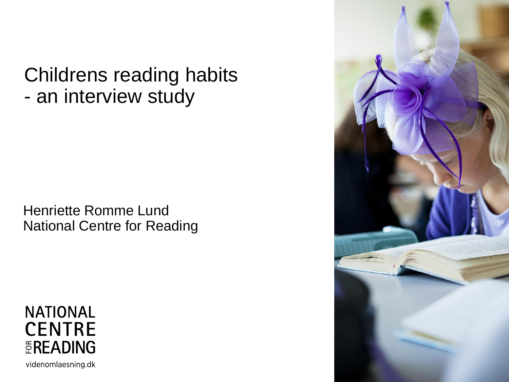Childrens reading habits - an interview study

Henriette Romme Lund National Centre for Reading

**NATIONAL CENTRE** EREADING videnomlaesning.dk

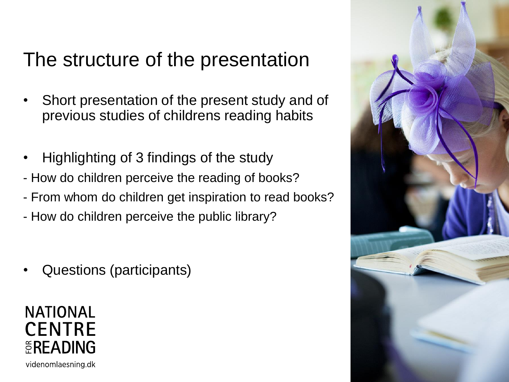# The structure of the presentation

- Short presentation of the present study and of previous studies of childrens reading habits
- Highlighting of 3 findings of the study
- How do children perceive the reading of books?
- From whom do children get inspiration to read books?
- How do children perceive the public library?
- Questions (participants)

**NATIONAL CENTRE** EREADING videnomlaesning.dk

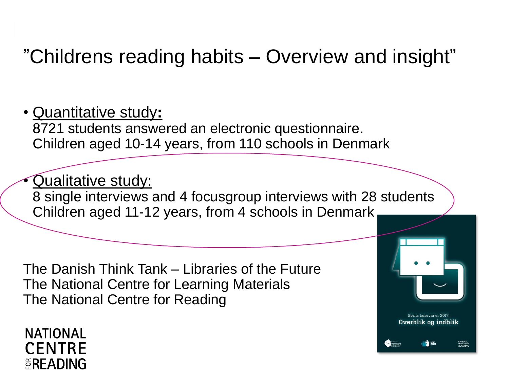# "Childrens reading habits – Overview and insight"

• Quantitative study**:** 8721 students answered an electronic questionnaire. Children aged 10-14 years, from 110 schools in Denmark

• Qualitative study: 8 single interviews and 4 focusgroup interviews with 28 students Children aged 11-12 years, from 4 schools in Denmark

> Børns læsevaner 2017: Overblik og indblik

> > NATIONALT<br>VIDENCENTER<br>SI ÆSNING

The Danish Think Tank – Libraries of the Future The National Centre for Learning Materials The National Centre for Reading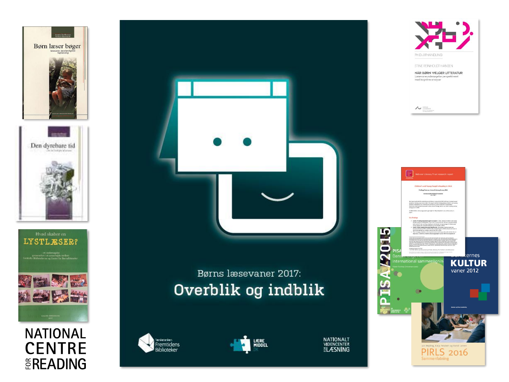





#### **NATIONAL CENTRE EREADING**



#### Børns læsevaner 2017: Overblik og indblik









STINE REINHOLDT HANSEN

 $\sim$ 

NÅR BØRN VÆLGER LITTERATUR Læsevaneundersøgelse persp<br>med kognitive analyser

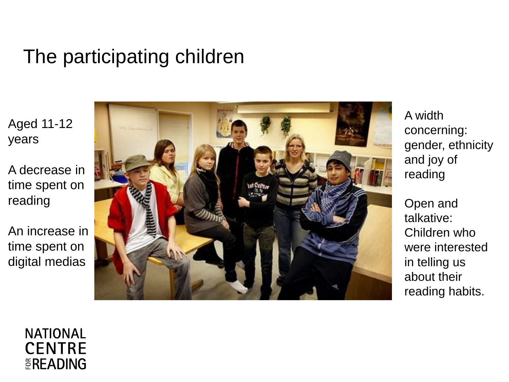## The participating children

Aged 11 -12 years

A decrease in time spent on reading

An increase in time spent on digital medias



A width concerning: gender, ethnicity and joy of reading

Open and talkative: Children who were interested in telling us about their reading habits.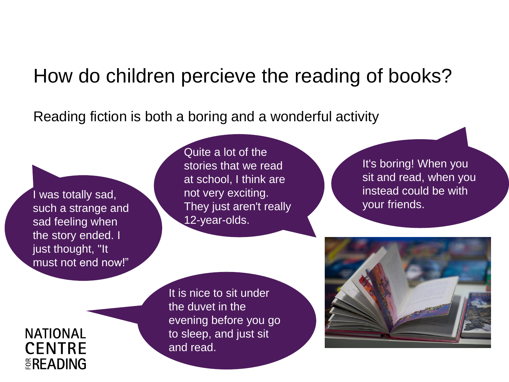## How do children percieve the reading of books?

Reading fiction is both a boring and a wonderful activity

I was totally sad, such a strange and sad feeling when the story ended. I just thought, "It must not end now!"

Quite a lot of the stories that we read at school, I think are not very exciting. They just aren't really 12-year-olds.

It's boring! When you sit and read, when you instead could be with your friends.

It is nice to sit under the duvet in the evening before you go to sleep, and just sit and read.

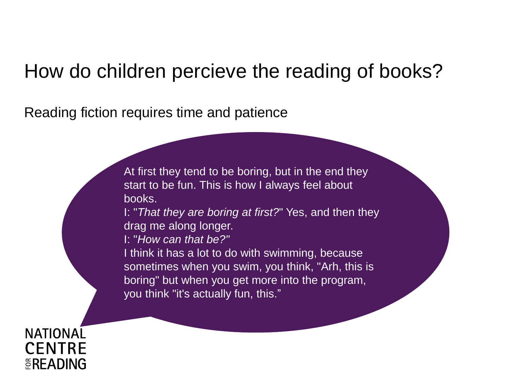## How do children percieve the reading of books?

Reading fiction requires time and patience

At first they tend to be boring, but in the end they start to be fun. This is how I always feel about books.

I: "*That they are boring at first?*" Yes, and then they drag me along longer.

I: "*How can that be?"* 

I think it has a lot to do with swimming, because sometimes when you swim, you think, "Arh, this is boring" but when you get more into the program, you think "it's actually fun, this."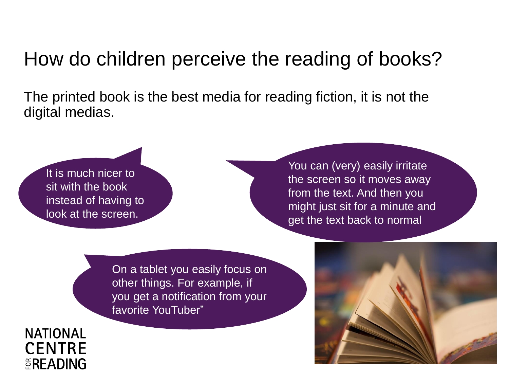## How do children perceive the reading of books?

The printed book is the best media for reading fiction, it is not the digital medias.

EREADING

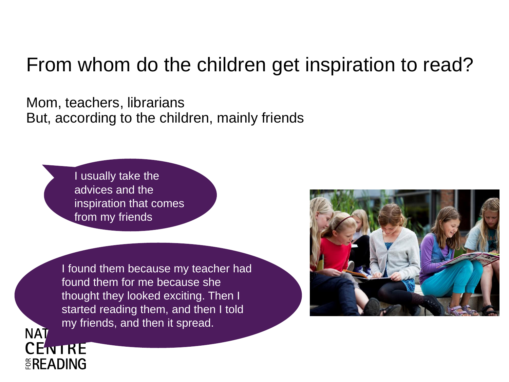## From whom do the children get inspiration to read?

Mom, teachers, librarians But, according to the children, mainly friends

> I usually take the advices and the inspiration that comes from my friends

**NAT** 

**CENTRE** 

EREADING

I found them because my teacher had found them for me because she thought they looked exciting. Then I started reading them, and then I told my friends, and then it spread.

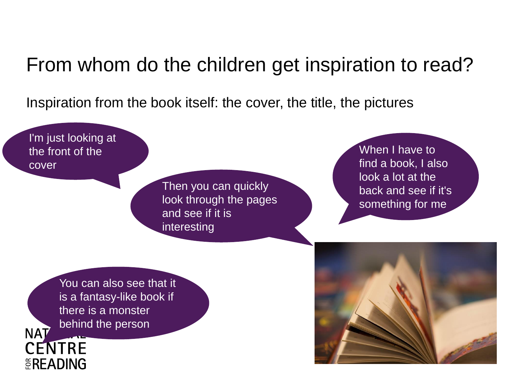#### From whom do the children get inspiration to read?

Inspiration from the book itself: the cover, the title, the pictures

I'm just looking at When I have to the front of the find a book, I also cover look a lot at the Then you can quickly back and see if it's look through the pages something for me and see if it is interestingYou can also see that it is a fantasy-like book if there is a monster behind the person **NAT CENTRE EREADING**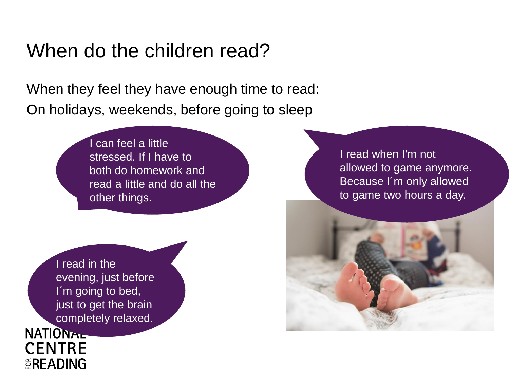#### When do the children read?

" On holidays, weekends, before going to sleep When they feel they have enough time to read:

> I can feel a little stressed. If I have to both do homework and read a little and do all the other things.

I read in the evening, just before I'm going to bed, just to get the brain completely relaxed.

**NATIONAL** 

**CENTRE** 

**EREADING** 

I read when I'm not allowed to game anymore. Because I´m only allowed to game two hours a day.

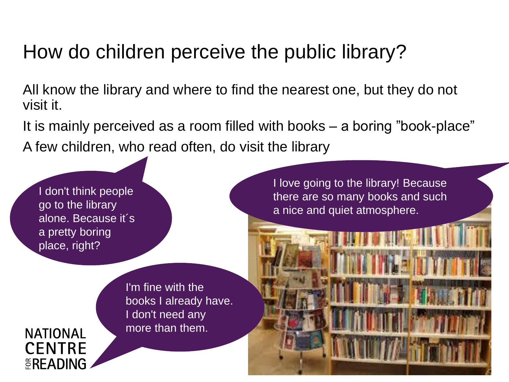## How do children perceive the public library?

All know the library and where to find the nearest one, but they do not visit it.

It is mainly perceived as a room filled with books – a boring "book-place" A few children, who read often, do visit the library

I don't think people go to the library alone. Because it´s a pretty boring place, right?

I love going to the library! Because there are so many books and such a nice and quiet atmosphere.

I'm fine with the books I already have. I don't need any more than them.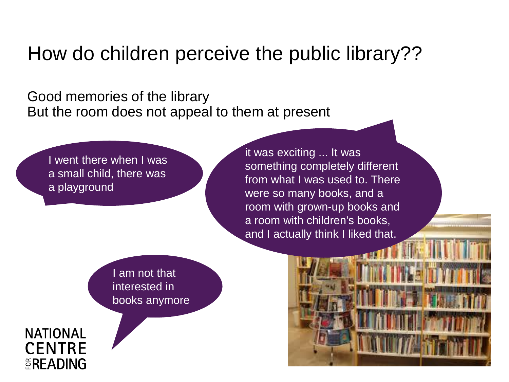How do children perceive the public library??

Good memories of the library But the room does not appeal to them at present

I went there when I was a small child, there was a playground

it was exciting ... It was something completely different from what I was used to. There were so many books, and a room with grown-up books and a room with children's books, and I actually think I liked that.

I am not that interested in books anymore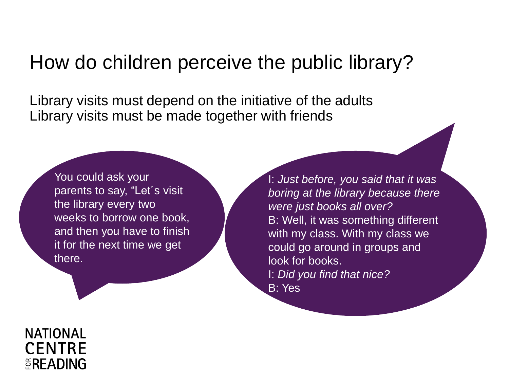#### How do children perceive the public library?

Library visits must depend on the initiative of the adults Library visits must be made together with friends

You could ask your parents to say, "Let´s visit the library every two weeks to borrow one book, and then you have to finish it for the next time we get there.

I: *Just before, you said that it was boring at the library because there were just books all over?* B: Well, it was something different with my class. With my class we could go around in groups and look for books. I: *Did you find that nice?*  B: Yes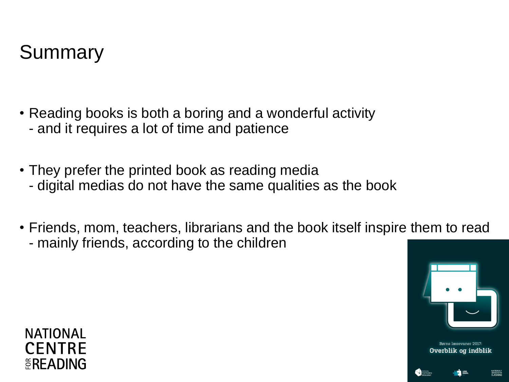

- Reading books is both a boring and a wonderful activity - and it requires a lot of time and patience
- They prefer the printed book as reading media
	- digital medias do not have the same qualities as the book
- Friends, mom, teachers, librarians and the book itself inspire them to read - mainly friends, according to the children





NATIONALI<br>VIDINCENTER<br>¤I ÆCNIN*C*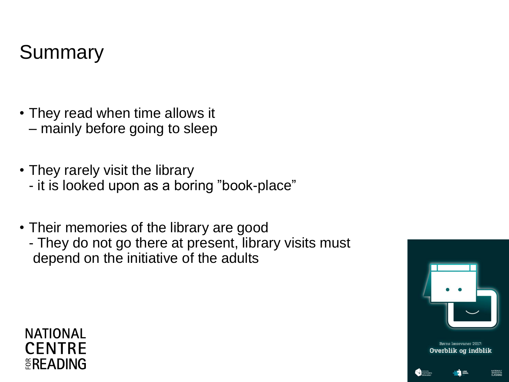# Summary

- They read when time allows it – mainly before going to sleep
- They rarely visit the library
	- it is looked upon as a boring "book-place"
- Their memories of the library are good
	- They do not go there at present, library visits must depend on the initiative of the adults

#### **NATIONAL CENTRE EREADING**





NATIONALT<br>VIDINCENTER<br>BLÆSNING